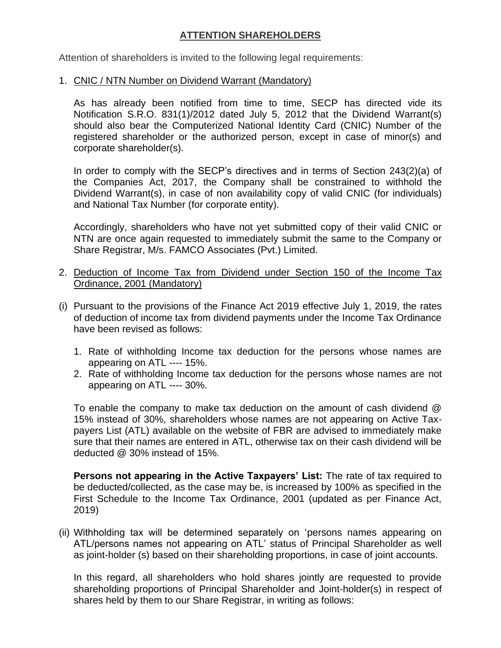## **ATTENTION SHAREHOLDERS**

Attention of shareholders is invited to the following legal requirements:

## 1. CNIC / NTN Number on Dividend Warrant (Mandatory)

As has already been notified from time to time, SECP has directed vide its Notification S.R.O. 831(1)/2012 dated July 5, 2012 that the Dividend Warrant(s) should also bear the Computerized National Identity Card (CNIC) Number of the registered shareholder or the authorized person, except in case of minor(s) and corporate shareholder(s).

In order to comply with the SECP's directives and in terms of Section 243(2)(a) of the Companies Act, 2017, the Company shall be constrained to withhold the Dividend Warrant(s), in case of non availability copy of valid CNIC (for individuals) and National Tax Number (for corporate entity).

Accordingly, shareholders who have not yet submitted copy of their valid CNIC or NTN are once again requested to immediately submit the same to the Company or Share Registrar, M/s. FAMCO Associates (Pvt.) Limited.

- 2. Deduction of Income Tax from Dividend under Section 150 of the Income Tax Ordinance, 2001 (Mandatory)
- (i) Pursuant to the provisions of the Finance Act 2019 effective July 1, 2019, the rates of deduction of income tax from dividend payments under the Income Tax Ordinance have been revised as follows:
	- 1. Rate of withholding Income tax deduction for the persons whose names are appearing on ATL ---- 15%.
	- 2. Rate of withholding Income tax deduction for the persons whose names are not appearing on ATL ---- 30%.

To enable the company to make tax deduction on the amount of cash dividend @ 15% instead of 30%, shareholders whose names are not appearing on Active Taxpayers List (ATL) available on the website of FBR are advised to immediately make sure that their names are entered in ATL, otherwise tax on their cash dividend will be deducted @ 30% instead of 15%.

**Persons not appearing in the Active Taxpayers' List:** The rate of tax required to be deducted/collected, as the case may be, is increased by 100% as specified in the First Schedule to the Income Tax Ordinance, 2001 (updated as per Finance Act, 2019)

(ii) Withholding tax will be determined separately on 'persons names appearing on ATL/persons names not appearing on ATL' status of Principal Shareholder as well as joint-holder (s) based on their shareholding proportions, in case of joint accounts.

In this regard, all shareholders who hold shares jointly are requested to provide shareholding proportions of Principal Shareholder and Joint-holder(s) in respect of shares held by them to our Share Registrar, in writing as follows: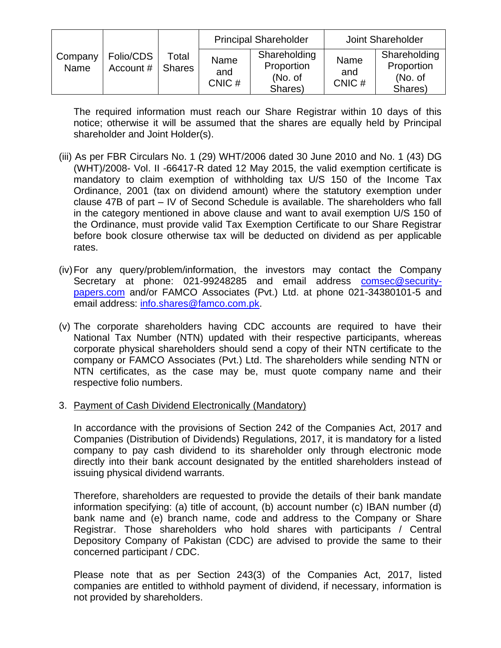|                 |                        |                        | <b>Principal Shareholder</b> |                                                  | Joint Shareholder    |                                                  |
|-----------------|------------------------|------------------------|------------------------------|--------------------------------------------------|----------------------|--------------------------------------------------|
| Company<br>Name | Folio/CDS<br>Account # | Total<br><b>Shares</b> | Name<br>and<br>CNIC#         | Shareholding<br>Proportion<br>(No. of<br>Shares) | Name<br>and<br>CNIC# | Shareholding<br>Proportion<br>(No. of<br>Shares) |

The required information must reach our Share Registrar within 10 days of this notice; otherwise it will be assumed that the shares are equally held by Principal shareholder and Joint Holder(s).

- (iii) As per FBR Circulars No. 1 (29) WHT/2006 dated 30 June 2010 and No. 1 (43) DG (WHT)/2008- Vol. II -66417-R dated 12 May 2015, the valid exemption certificate is mandatory to claim exemption of withholding tax U/S 150 of the Income Tax Ordinance, 2001 (tax on dividend amount) where the statutory exemption under clause 47B of part – IV of Second Schedule is available. The shareholders who fall in the category mentioned in above clause and want to avail exemption U/S 150 of the Ordinance, must provide valid Tax Exemption Certificate to our Share Registrar before book closure otherwise tax will be deducted on dividend as per applicable rates.
- (iv)For any query/problem/information, the investors may contact the Company Secretary at phone: 021-99248285 and email address [comsec@security](mailto:comsec@security-papers.com)[papers.com](mailto:comsec@security-papers.com) and/or FAMCO Associates (Pvt.) Ltd. at phone 021-34380101-5 and email address: [info.shares@famco.com.pk.](mailto:info.shares@famco.com.pk)
- (v) The corporate shareholders having CDC accounts are required to have their National Tax Number (NTN) updated with their respective participants, whereas corporate physical shareholders should send a copy of their NTN certificate to the company or FAMCO Associates (Pvt.) Ltd. The shareholders while sending NTN or NTN certificates, as the case may be, must quote company name and their respective folio numbers.
- 3. Payment of Cash Dividend Electronically (Mandatory)

In accordance with the provisions of Section 242 of the Companies Act, 2017 and Companies (Distribution of Dividends) Regulations, 2017, it is mandatory for a listed company to pay cash dividend to its shareholder only through electronic mode directly into their bank account designated by the entitled shareholders instead of issuing physical dividend warrants.

Therefore, shareholders are requested to provide the details of their bank mandate information specifying: (a) title of account, (b) account number (c) IBAN number (d) bank name and (e) branch name, code and address to the Company or Share Registrar. Those shareholders who hold shares with participants / Central Depository Company of Pakistan (CDC) are advised to provide the same to their concerned participant / CDC.

Please note that as per Section 243(3) of the Companies Act, 2017, listed companies are entitled to withhold payment of dividend, if necessary, information is not provided by shareholders.